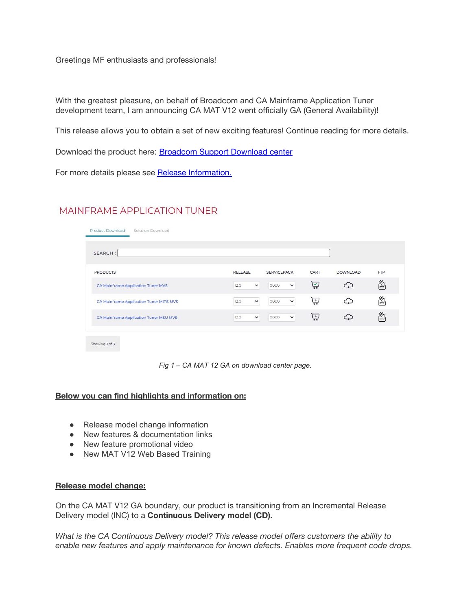Greetings MF enthusiasts and professionals!

With the greatest pleasure, on behalf of Broadcom and CA Mainframe Application Tuner development team, I am announcing CA MAT V12 went officially GA (General Availability)!

This release allows you to obtain a set of new exciting features! Continue reading for more details.

Download the product here: [Broadcom Support Download center](https://support.broadcom.com/download-center/product-download.html?subfamily=MAINFRAME%20APPLICATION%20TUNER)

For more details please see [Release Information.](https://techdocs.broadcom.com/content/broadcom/techdocs/us/en/ca-mainframe-software/devops/ca-mainframe-application-tuner/12-0/release-notes.html)

# MAINFRAME APPLICATION TUNER

| SEARCH:                                 |                      |                      |      |                 |            |
|-----------------------------------------|----------------------|----------------------|------|-----------------|------------|
| <b>PRODUCTS</b>                         | RELEASE              | <b>SERVICEPACK</b>   | CART | <b>DOWNLOAD</b> | <b>FTP</b> |
| CA Mainframe Application Tuner MVS      | $\checkmark$<br>12.0 | $\checkmark$<br>0000 | 넣    | د.              | 鹬          |
| CA Mainframe Application Tuner MIPS MVS | $\check{~}$<br>12.0  | 0000<br>$\checkmark$ | 넣    |                 | 鹬          |
| CA Mainframe Application Tuner MSU MVS  | 12.0<br>$\checkmark$ | $\checkmark$<br>0000 | 넣    | 1.0             | 鹬          |

*Fig 1 – CA MAT 12 GA on download center page.*

## **Below you can find highlights and information on:**

- Release model change information
- New features & documentation links
- New feature promotional video
- New MAT V12 Web Based Training

#### **Release model change:**

On the CA MAT V12 GA boundary, our product is transitioning from an Incremental Release Delivery model (INC) to a **Continuous Delivery model (CD).**

*What is the CA Continuous Delivery model? This release model offers customers the ability to enable new features and apply maintenance for known defects. Enables more frequent code drops.*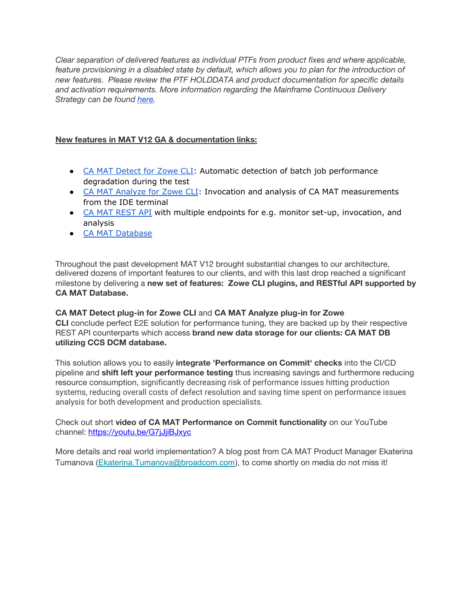*Clear separation of delivered features as individual PTFs from product fixes and where applicable, feature provisioning in a disabled state by default, which allows you to plan for the introduction of new features. Please review the PTF HOLDDATA and product documentation for specific details and activation requirements. More information regarding the Mainframe Continuous Delivery Strategy can be found [here.](http://techdocs.broadcom.com/content/broadcom/techdocs/us/en/ca-mainframe-software/traditional-management/mainframe-common-maintenance-procedures/1-0/continuous-delivery.html)*

# **New features in MAT V12 GA & documentation links:**

- CA MAT [Detect](https://techdocs.broadcom.com/content/broadcom/techdocs/us/en/ca-mainframe-software/devops/ca-mainframe-application-tuner/12-0/zowe-cli-plug-ins/ca-mat-detect-plug-in-for-zowe-cli.html) for Zowe CLI: Automatic detection of batch job performance degradation during the test
- CA MAT [Analyze](https://techdocs.broadcom.com/content/broadcom/techdocs/us/en/ca-mainframe-software/devops/ca-mainframe-application-tuner/12-0/zowe-cli-plug-ins/ca-mat-analyze-plug-in-for-zowe-cli.html) for Zowe CLI: Invocation and analysis of CA MAT measurements from the IDE terminal
- CA MAT [REST](https://techdocs.broadcom.com/content/broadcom/techdocs/us/en/ca-mainframe-software/devops/ca-mainframe-application-tuner/12-0/using-the-rest-api.html) API with multiple endpoints for e.g. monitor set-up, invocation, and analysis
- CA MAT [Database](https://techdocs.broadcom.com/content/broadcom/techdocs/us/en/ca-mainframe-software/devops/ca-mainframe-application-tuner/12-0/using/using-the-ca-mat-database.html)

Throughout the past development MAT V12 brought substantial changes to our architecture, delivered dozens of important features to our clients, and with this last drop reached a significant milestone by delivering a **new set of features: Zowe CLI plugins, and RESTful API supported by CA MAT Database.** 

**CA MAT Detect plug-in for Zowe CLI** and **CA MAT Analyze plug-in for Zowe CLI** conclude perfect E2E solution for performance tuning, they are backed up by their respective REST API counterparts which access **brand new data storage for our clients: CA MAT DB utilizing CCS DCM database.** 

This solution allows you to easily **integrate 'Performance on Commit' checks** into the CI/CD pipeline and **shift left your performance testing** thus increasing savings and furthermore reducing resource consumption, significantly decreasing risk of performance issues hitting production systems, reducing overall costs of defect resolution and saving time spent on performance issues analysis for both development and production specialists.

Check out short **video of CA MAT Performance on Commit functionality** on our YouTube channel: <https://youtu.be/G7jJjiBJxyc>

More details and real world implementation? A blog post from CA MAT Product Manager Ekaterina Tumanova ([Ekaterina.Tumanova@broadcom.com](mailto:Ekaterina.Tumanova@broadcom.com)), to come shortly on media do not miss it!